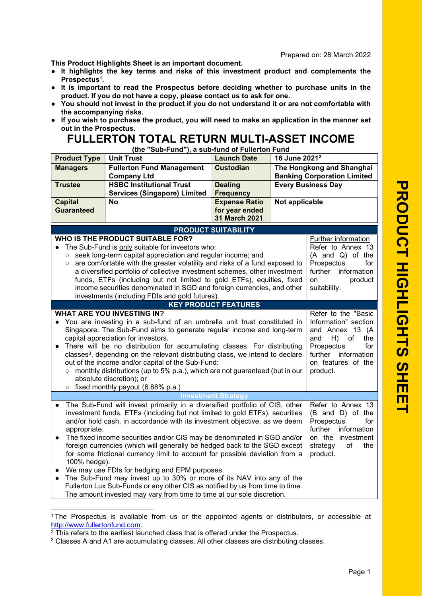This Product Highlights Sheet is an important document.

- It highlights the key terms and risks of this investment product and complements the Prospectus 1 .
- It is important to read the Prospectus before deciding whether to purchase units in the product. If you do not have a copy, please contact us to ask for one.
- You should not invest in the product if you do not understand it or are not comfortable with the accompanying risks.
- If you wish to purchase the product, you will need to make an application in the manner set out in the Prospectus.

## FULLERTON TOTAL RETURN MULTI-ASSET INCOME

(the "Sub-Fund"), a sub-fund of Fullerton Fund

| <b>Product Type</b>                                                 | <b>Unit Trust</b>                                                                                                                                                                                                                                                                                                                                                                                                                                                                                                                                                                                             | <b>Launch Date</b>                                      | 16 June 2021 <sup>2</sup> |                                                                                                                                                                                   |
|---------------------------------------------------------------------|---------------------------------------------------------------------------------------------------------------------------------------------------------------------------------------------------------------------------------------------------------------------------------------------------------------------------------------------------------------------------------------------------------------------------------------------------------------------------------------------------------------------------------------------------------------------------------------------------------------|---------------------------------------------------------|---------------------------|-----------------------------------------------------------------------------------------------------------------------------------------------------------------------------------|
| <b>Managers</b>                                                     | <b>Fullerton Fund Management</b><br><b>Company Ltd</b>                                                                                                                                                                                                                                                                                                                                                                                                                                                                                                                                                        | <b>Custodian</b>                                        |                           | The Hongkong and Shanghai<br><b>Banking Corporation Limited</b>                                                                                                                   |
| <b>Trustee</b>                                                      | <b>HSBC Institutional Trust</b><br><b>Services (Singapore) Limited</b>                                                                                                                                                                                                                                                                                                                                                                                                                                                                                                                                        | <b>Dealing</b><br><b>Frequency</b>                      |                           | <b>Every Business Day</b>                                                                                                                                                         |
| <b>Capital</b><br><b>Guaranteed</b>                                 | <b>No</b>                                                                                                                                                                                                                                                                                                                                                                                                                                                                                                                                                                                                     | <b>Expense Ratio</b><br>for year ended<br>31 March 2021 | Not applicable            |                                                                                                                                                                                   |
|                                                                     |                                                                                                                                                                                                                                                                                                                                                                                                                                                                                                                                                                                                               | <b>PRODUCT SUITABILITY</b>                              |                           |                                                                                                                                                                                   |
| $\circ$<br>$\circ$                                                  | WHO IS THE PRODUCT SUITABLE FOR?<br>The Sub-Fund is only suitable for investors who:<br>seek long-term capital appreciation and regular income; and<br>are comfortable with the greater volatility and risks of a fund exposed to<br>a diversified portfolio of collective investment schemes, other investment<br>funds, ETFs (including but not limited to gold ETFs), equities, fixed<br>income securities denominated in SGD and foreign currencies, and other<br>investments (including FDIs and gold futures).                                                                                          |                                                         |                           | <b>Further information</b><br>Refer to Annex 13<br>(A and Q) of the<br>Prospectus<br>for<br>further<br>information<br>on<br>product<br>suitability.                               |
|                                                                     |                                                                                                                                                                                                                                                                                                                                                                                                                                                                                                                                                                                                               | <b>KEY PRODUCT FEATURES</b>                             |                           |                                                                                                                                                                                   |
| $\bullet$<br>$\circ$                                                | <b>WHAT ARE YOU INVESTING IN?</b><br>You are investing in a sub-fund of an umbrella unit trust constituted in<br>Singapore. The Sub-Fund aims to generate regular income and long-term<br>capital appreciation for investors.<br>There will be no distribution for accumulating classes. For distributing<br>classes <sup>3</sup> , depending on the relevant distributing class, we intend to declare<br>out of the income and/or capital of the Sub-Fund:<br>o monthly distributions (up to 5% p.a.), which are not guaranteed (but in our<br>absolute discretion); or<br>fixed monthly payout (6.88% p.a.) |                                                         |                           | Refer to the "Basic<br>Information" section<br>and Annex 13 (A<br>$\circ$ of<br>and<br>H)<br>the<br>for<br>Prospectus<br>further<br>information<br>on features of the<br>product. |
|                                                                     |                                                                                                                                                                                                                                                                                                                                                                                                                                                                                                                                                                                                               | <b>Investment Strategy</b>                              |                           |                                                                                                                                                                                   |
| $\bullet$<br>appropriate.<br>$\bullet$<br>100% hedge).<br>$\bullet$ | The Sub-Fund will invest primarily in a diversified portfolio of CIS, other<br>investment funds, ETFs (including but not limited to gold ETFs), securities<br>and/or hold cash, in accordance with its investment objective, as we deem<br>The fixed income securities and/or CIS may be denominated in SGD and/or<br>foreign currencies (which will generally be hedged back to the SGD except<br>for some frictional currency limit to account for possible deviation from a<br>We may use FDIs for hedging and EPM purposes.                                                                               |                                                         |                           | Refer to Annex 13<br>(B and D) of the<br>Prospectus<br>for<br>further<br>information<br>on the investment<br>strategy<br>of<br>the<br>product.                                    |
|                                                                     | The Sub-Fund may invest up to 30% or more of its NAV into any of the<br>Fullerton Lux Sub-Funds or any other CIS as notified by us from time to time.<br>The amount invested may vary from time to time at our sole discretion.                                                                                                                                                                                                                                                                                                                                                                               |                                                         |                           |                                                                                                                                                                                   |

<sup>1</sup> The Prospectus is available from us or the appointed agents or distributors, or accessible at http://www.fullertonfund.com.

<sup>&</sup>lt;sup>2</sup> This refers to the earliest launched class that is offered under the Prospectus.

 $3$  Classes A and A1 are accumulating classes. All other classes are distributing classes.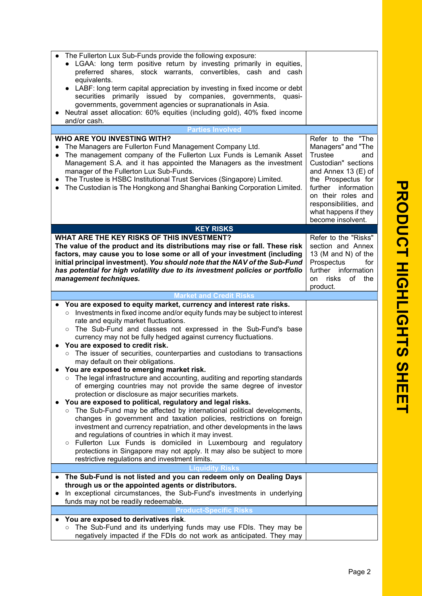| The Fullerton Lux Sub-Funds provide the following exposure:<br>• LGAA: long term positive return by investing primarily in equities,<br>preferred shares, stock warrants, convertibles, cash and cash<br>equivalents.<br>LABF: long term capital appreciation by investing in fixed income or debt<br>securities primarily issued by companies, governments,<br>quasi-<br>governments, government agencies or supranationals in Asia.<br>Neutral asset allocation: 60% equities (including gold), 40% fixed income<br>and/or cash.                                                                                                                                                                                                                                                                                                                                                                                                                                                                                                                                                                                                                                                                                                                                                                                                                       |                                                                                                                                                                                                                                                    |
|----------------------------------------------------------------------------------------------------------------------------------------------------------------------------------------------------------------------------------------------------------------------------------------------------------------------------------------------------------------------------------------------------------------------------------------------------------------------------------------------------------------------------------------------------------------------------------------------------------------------------------------------------------------------------------------------------------------------------------------------------------------------------------------------------------------------------------------------------------------------------------------------------------------------------------------------------------------------------------------------------------------------------------------------------------------------------------------------------------------------------------------------------------------------------------------------------------------------------------------------------------------------------------------------------------------------------------------------------------|----------------------------------------------------------------------------------------------------------------------------------------------------------------------------------------------------------------------------------------------------|
| <b>Parties Involved</b>                                                                                                                                                                                                                                                                                                                                                                                                                                                                                                                                                                                                                                                                                                                                                                                                                                                                                                                                                                                                                                                                                                                                                                                                                                                                                                                                  |                                                                                                                                                                                                                                                    |
| <b>WHO ARE YOU INVESTING WITH?</b><br>The Managers are Fullerton Fund Management Company Ltd.<br>$\bullet$<br>The management company of the Fullerton Lux Funds is Lemanik Asset<br>Management S.A. and it has appointed the Managers as the investment<br>manager of the Fullerton Lux Sub-Funds.<br>The Trustee is HSBC Institutional Trust Services (Singapore) Limited.<br>The Custodian is The Hongkong and Shanghai Banking Corporation Limited.<br>$\bullet$                                                                                                                                                                                                                                                                                                                                                                                                                                                                                                                                                                                                                                                                                                                                                                                                                                                                                      | Refer to the "The<br>Managers" and "The<br>Trustee<br>and<br>Custodian" sections<br>and Annex 13 $(E)$ of<br>the Prospectus for<br>further information<br>on their roles and<br>responsibilities, and<br>what happens if they<br>become insolvent. |
| <b>KEY RISKS</b>                                                                                                                                                                                                                                                                                                                                                                                                                                                                                                                                                                                                                                                                                                                                                                                                                                                                                                                                                                                                                                                                                                                                                                                                                                                                                                                                         |                                                                                                                                                                                                                                                    |
| WHAT ARE THE KEY RISKS OF THIS INVESTMENT?<br>The value of the product and its distributions may rise or fall. These risk<br>factors, may cause you to lose some or all of your investment (including<br>initial principal investment). You should note that the NAV of the Sub-Fund<br>has potential for high volatility due to its investment policies or portfolio<br>management techniques.                                                                                                                                                                                                                                                                                                                                                                                                                                                                                                                                                                                                                                                                                                                                                                                                                                                                                                                                                          | Refer to the "Risks"<br>section and Annex<br>13 (M and N) of the<br>Prospectus<br>for<br>further information<br>risks<br>of the<br>on<br>product.                                                                                                  |
|                                                                                                                                                                                                                                                                                                                                                                                                                                                                                                                                                                                                                                                                                                                                                                                                                                                                                                                                                                                                                                                                                                                                                                                                                                                                                                                                                          |                                                                                                                                                                                                                                                    |
|                                                                                                                                                                                                                                                                                                                                                                                                                                                                                                                                                                                                                                                                                                                                                                                                                                                                                                                                                                                                                                                                                                                                                                                                                                                                                                                                                          |                                                                                                                                                                                                                                                    |
| <b>Market and Credit Risks</b>                                                                                                                                                                                                                                                                                                                                                                                                                                                                                                                                                                                                                                                                                                                                                                                                                                                                                                                                                                                                                                                                                                                                                                                                                                                                                                                           |                                                                                                                                                                                                                                                    |
| You are exposed to equity market, currency and interest rate risks.<br>Investments in fixed income and/or equity funds may be subject to interest<br>$\circ$<br>rate and equity market fluctuations.<br>The Sub-Fund and classes not expressed in the Sub-Fund's base<br>$\circ$<br>currency may not be fully hedged against currency fluctuations.<br>You are exposed to credit risk.<br>The issuer of securities, counterparties and custodians to transactions<br>$\circ$<br>may default on their obligations.<br>You are exposed to emerging market risk.<br>The legal infrastructure and accounting, auditing and reporting standards<br>$\circ$<br>of emerging countries may not provide the same degree of investor<br>protection or disclosure as major securities markets.<br>You are exposed to political, regulatory and legal risks.<br>The Sub-Fund may be affected by international political developments,<br>$\circ$<br>changes in government and taxation policies, restrictions on foreign<br>investment and currency repatriation, and other developments in the laws<br>and regulations of countries in which it may invest.<br>Fullerton Lux Funds is domiciled in Luxembourg and regulatory<br>$\circ$<br>protections in Singapore may not apply. It may also be subject to more<br>restrictive regulations and investment limits. |                                                                                                                                                                                                                                                    |
| <b>Liquidity Risks</b>                                                                                                                                                                                                                                                                                                                                                                                                                                                                                                                                                                                                                                                                                                                                                                                                                                                                                                                                                                                                                                                                                                                                                                                                                                                                                                                                   |                                                                                                                                                                                                                                                    |
| The Sub-Fund is not listed and you can redeem only on Dealing Days<br>through us or the appointed agents or distributors.<br>In exceptional circumstances, the Sub-Fund's investments in underlying<br>funds may not be readily redeemable.                                                                                                                                                                                                                                                                                                                                                                                                                                                                                                                                                                                                                                                                                                                                                                                                                                                                                                                                                                                                                                                                                                              |                                                                                                                                                                                                                                                    |
| <b>Product-Specific Risks</b><br>You are exposed to derivatives risk.                                                                                                                                                                                                                                                                                                                                                                                                                                                                                                                                                                                                                                                                                                                                                                                                                                                                                                                                                                                                                                                                                                                                                                                                                                                                                    |                                                                                                                                                                                                                                                    |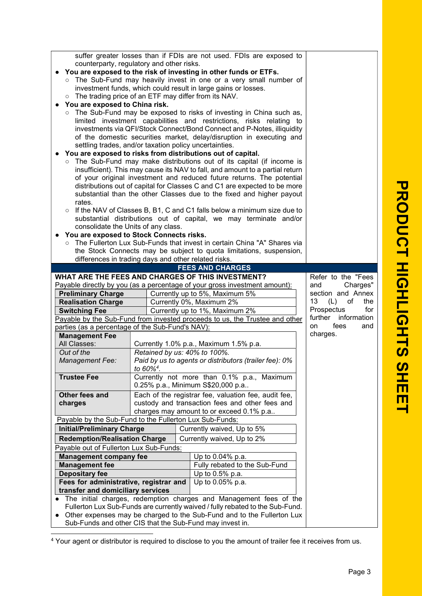| ○ The trading price of an ETF may differ from its NAV.<br>You are exposed to China risk.<br>rates.<br>consolidate the Units of any class.<br>You are exposed to Stock Connects risks. | counterparty, regulatory and other risks.<br>settling trades, and/or taxation policy uncertainties. | suffer greater losses than if FDIs are not used. FDIs are exposed to<br>You are exposed to the risk of investing in other funds or ETFs.<br>o The Sub-Fund may heavily invest in one or a very small number of<br>investment funds, which could result in large gains or losses.<br>o The Sub-Fund may be exposed to risks of investing in China such as,<br>limited investment capabilities and restrictions, risks relating to<br>investments via QFI/Stock Connect/Bond Connect and P-Notes, illiquidity<br>of the domestic securities market, delay/disruption in executing and<br>You are exposed to risks from distributions out of capital.<br>o The Sub-Fund may make distributions out of its capital (if income is<br>insufficient). This may cause its NAV to fall, and amount to a partial return<br>of your original investment and reduced future returns. The potential<br>distributions out of capital for Classes C and C1 are expected to be more<br>substantial than the other Classes due to the fixed and higher payout<br>$\circ$ If the NAV of Classes B, B1, C and C1 falls below a minimum size due to<br>substantial distributions out of capital, we may terminate and/or<br>The Fullerton Lux Sub-Funds that invest in certain China "A" Shares via<br>the Stock Connects may be subject to quota limitations, suspension, |                                                                                                           |
|---------------------------------------------------------------------------------------------------------------------------------------------------------------------------------------|-----------------------------------------------------------------------------------------------------|--------------------------------------------------------------------------------------------------------------------------------------------------------------------------------------------------------------------------------------------------------------------------------------------------------------------------------------------------------------------------------------------------------------------------------------------------------------------------------------------------------------------------------------------------------------------------------------------------------------------------------------------------------------------------------------------------------------------------------------------------------------------------------------------------------------------------------------------------------------------------------------------------------------------------------------------------------------------------------------------------------------------------------------------------------------------------------------------------------------------------------------------------------------------------------------------------------------------------------------------------------------------------------------------------------------------------------------------------------|-----------------------------------------------------------------------------------------------------------|
|                                                                                                                                                                                       | differences in trading days and other related risks.                                                |                                                                                                                                                                                                                                                                                                                                                                                                                                                                                                                                                                                                                                                                                                                                                                                                                                                                                                                                                                                                                                                                                                                                                                                                                                                                                                                                                        |                                                                                                           |
|                                                                                                                                                                                       |                                                                                                     | <b>FEES AND CHARGES</b>                                                                                                                                                                                                                                                                                                                                                                                                                                                                                                                                                                                                                                                                                                                                                                                                                                                                                                                                                                                                                                                                                                                                                                                                                                                                                                                                |                                                                                                           |
|                                                                                                                                                                                       |                                                                                                     |                                                                                                                                                                                                                                                                                                                                                                                                                                                                                                                                                                                                                                                                                                                                                                                                                                                                                                                                                                                                                                                                                                                                                                                                                                                                                                                                                        |                                                                                                           |
| <b>Preliminary Charge</b><br><b>Realisation Charge</b><br><b>Switching Fee</b>                                                                                                        |                                                                                                     | WHAT ARE THE FEES AND CHARGES OF THIS INVESTMENT?<br>Payable directly by you (as a percentage of your gross investment amount):<br>Currently up to 5%, Maximum 5%<br>Currently 0%, Maximum 2%<br>Currently up to 1%, Maximum 2%                                                                                                                                                                                                                                                                                                                                                                                                                                                                                                                                                                                                                                                                                                                                                                                                                                                                                                                                                                                                                                                                                                                        | Refer to the "Fees<br>Charges"<br>and<br>section and Annex<br>13<br>(L)<br>of<br>the<br>Prospectus<br>for |
|                                                                                                                                                                                       |                                                                                                     | Payable by the Sub-Fund from invested proceeds to us, the Trustee and other                                                                                                                                                                                                                                                                                                                                                                                                                                                                                                                                                                                                                                                                                                                                                                                                                                                                                                                                                                                                                                                                                                                                                                                                                                                                            | further information                                                                                       |
| parties (as a percentage of the Sub-Fund's NAV):                                                                                                                                      |                                                                                                     |                                                                                                                                                                                                                                                                                                                                                                                                                                                                                                                                                                                                                                                                                                                                                                                                                                                                                                                                                                                                                                                                                                                                                                                                                                                                                                                                                        | fees<br>on<br>and                                                                                         |
| <b>Management Fee</b>                                                                                                                                                                 |                                                                                                     |                                                                                                                                                                                                                                                                                                                                                                                                                                                                                                                                                                                                                                                                                                                                                                                                                                                                                                                                                                                                                                                                                                                                                                                                                                                                                                                                                        | charges.                                                                                                  |
| All Classes:                                                                                                                                                                          |                                                                                                     | Currently 1.0% p.a., Maximum 1.5% p.a.                                                                                                                                                                                                                                                                                                                                                                                                                                                                                                                                                                                                                                                                                                                                                                                                                                                                                                                                                                                                                                                                                                                                                                                                                                                                                                                 |                                                                                                           |
| Out of the                                                                                                                                                                            | Retained by us: 40% to 100%.                                                                        |                                                                                                                                                                                                                                                                                                                                                                                                                                                                                                                                                                                                                                                                                                                                                                                                                                                                                                                                                                                                                                                                                                                                                                                                                                                                                                                                                        |                                                                                                           |
| Management Fee:                                                                                                                                                                       | to 60% <sup>4</sup> .                                                                               | Paid by us to agents or distributors (trailer fee): 0%                                                                                                                                                                                                                                                                                                                                                                                                                                                                                                                                                                                                                                                                                                                                                                                                                                                                                                                                                                                                                                                                                                                                                                                                                                                                                                 |                                                                                                           |
| <b>Trustee Fee</b>                                                                                                                                                                    |                                                                                                     | Currently not more than 0.1% p.a., Maximum<br>0.25% p.a., Minimum S\$20,000 p.a                                                                                                                                                                                                                                                                                                                                                                                                                                                                                                                                                                                                                                                                                                                                                                                                                                                                                                                                                                                                                                                                                                                                                                                                                                                                        |                                                                                                           |
| Other fees and                                                                                                                                                                        |                                                                                                     | Each of the registrar fee, valuation fee, audit fee,                                                                                                                                                                                                                                                                                                                                                                                                                                                                                                                                                                                                                                                                                                                                                                                                                                                                                                                                                                                                                                                                                                                                                                                                                                                                                                   |                                                                                                           |
| charges                                                                                                                                                                               |                                                                                                     | custody and transaction fees and other fees and                                                                                                                                                                                                                                                                                                                                                                                                                                                                                                                                                                                                                                                                                                                                                                                                                                                                                                                                                                                                                                                                                                                                                                                                                                                                                                        |                                                                                                           |
|                                                                                                                                                                                       |                                                                                                     | charges may amount to or exceed 0.1% p.a                                                                                                                                                                                                                                                                                                                                                                                                                                                                                                                                                                                                                                                                                                                                                                                                                                                                                                                                                                                                                                                                                                                                                                                                                                                                                                               |                                                                                                           |
| Payable by the Sub-Fund to the Fullerton Lux Sub-Funds:                                                                                                                               |                                                                                                     |                                                                                                                                                                                                                                                                                                                                                                                                                                                                                                                                                                                                                                                                                                                                                                                                                                                                                                                                                                                                                                                                                                                                                                                                                                                                                                                                                        |                                                                                                           |
| <b>Initial/Preliminary Charge</b>                                                                                                                                                     |                                                                                                     | Currently waived, Up to 5%                                                                                                                                                                                                                                                                                                                                                                                                                                                                                                                                                                                                                                                                                                                                                                                                                                                                                                                                                                                                                                                                                                                                                                                                                                                                                                                             |                                                                                                           |
| <b>Redemption/Realisation Charge</b>                                                                                                                                                  |                                                                                                     | Currently waived, Up to 2%                                                                                                                                                                                                                                                                                                                                                                                                                                                                                                                                                                                                                                                                                                                                                                                                                                                                                                                                                                                                                                                                                                                                                                                                                                                                                                                             |                                                                                                           |
| Payable out of Fullerton Lux Sub-Funds:                                                                                                                                               |                                                                                                     |                                                                                                                                                                                                                                                                                                                                                                                                                                                                                                                                                                                                                                                                                                                                                                                                                                                                                                                                                                                                                                                                                                                                                                                                                                                                                                                                                        |                                                                                                           |
| <b>Management company fee</b>                                                                                                                                                         |                                                                                                     | Up to 0.04% p.a.                                                                                                                                                                                                                                                                                                                                                                                                                                                                                                                                                                                                                                                                                                                                                                                                                                                                                                                                                                                                                                                                                                                                                                                                                                                                                                                                       |                                                                                                           |
| <b>Management fee</b>                                                                                                                                                                 |                                                                                                     | Fully rebated to the Sub-Fund                                                                                                                                                                                                                                                                                                                                                                                                                                                                                                                                                                                                                                                                                                                                                                                                                                                                                                                                                                                                                                                                                                                                                                                                                                                                                                                          |                                                                                                           |
| <b>Depositary fee</b>                                                                                                                                                                 |                                                                                                     | Up to $0.5\%$ p.a.                                                                                                                                                                                                                                                                                                                                                                                                                                                                                                                                                                                                                                                                                                                                                                                                                                                                                                                                                                                                                                                                                                                                                                                                                                                                                                                                     |                                                                                                           |
| Fees for administrative, registrar and<br>transfer and domiciliary services                                                                                                           |                                                                                                     | Up to 0.05% p.a.                                                                                                                                                                                                                                                                                                                                                                                                                                                                                                                                                                                                                                                                                                                                                                                                                                                                                                                                                                                                                                                                                                                                                                                                                                                                                                                                       |                                                                                                           |
|                                                                                                                                                                                       |                                                                                                     | The initial charges, redemption charges and Management fees of the<br>Fullerton Lux Sub-Funds are currently waived / fully rebated to the Sub-Fund.                                                                                                                                                                                                                                                                                                                                                                                                                                                                                                                                                                                                                                                                                                                                                                                                                                                                                                                                                                                                                                                                                                                                                                                                    |                                                                                                           |

● Other expenses may be charged to the Sub-Fund and to the Fullerton Lux Sub-Funds and other CIS that the Sub-Fund may invest in.

4 Your agent or distributor is required to disclose to you the amount of trailer fee it receives from us.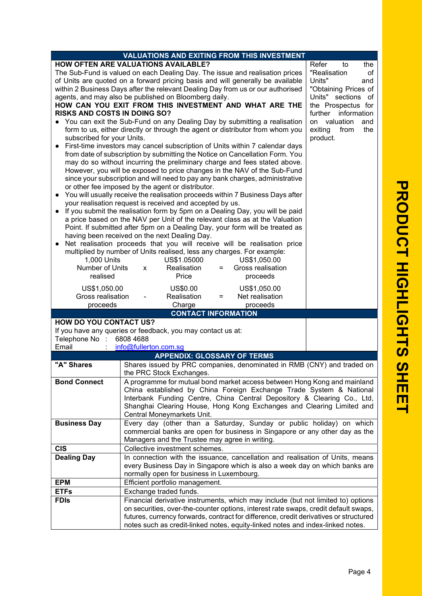| <b>C</b>                                                          |  |
|-------------------------------------------------------------------|--|
| <b>RODUCT HIGHLIGHTS</b>                                          |  |
| $\overline{\mathbf{C}}$<br>Ì<br>$\overline{\mathsf{m}}$<br>П<br>┙ |  |

|                                                                                                                                                                  | <b>VALUATIONS AND EXITING FROM THIS INVESTMENT</b>                                                                                                                                                                                                                                                                                                                                                                                                                                                                                                                                                                                                                                                                                                                                                                                                                                                                                                                                                                                                                                                                                                                                                                                                                                                                                                                                                                                                                                                                                                                                                                                                                                                                                                                                                                                                                                                                |                                                                                                                                                 |
|------------------------------------------------------------------------------------------------------------------------------------------------------------------|-------------------------------------------------------------------------------------------------------------------------------------------------------------------------------------------------------------------------------------------------------------------------------------------------------------------------------------------------------------------------------------------------------------------------------------------------------------------------------------------------------------------------------------------------------------------------------------------------------------------------------------------------------------------------------------------------------------------------------------------------------------------------------------------------------------------------------------------------------------------------------------------------------------------------------------------------------------------------------------------------------------------------------------------------------------------------------------------------------------------------------------------------------------------------------------------------------------------------------------------------------------------------------------------------------------------------------------------------------------------------------------------------------------------------------------------------------------------------------------------------------------------------------------------------------------------------------------------------------------------------------------------------------------------------------------------------------------------------------------------------------------------------------------------------------------------------------------------------------------------------------------------------------------------|-------------------------------------------------------------------------------------------------------------------------------------------------|
| <b>RISKS AND COSTS IN DOING SO?</b><br>subscribed for your Units.<br>1,000 Units<br>Number of Units<br>realised<br>US\$1,050.00<br>Gross realisation<br>proceeds | <b>HOW OFTEN ARE VALUATIONS AVAILABLE?</b><br>Refer<br>"Realisation<br>The Sub-Fund is valued on each Dealing Day. The issue and realisation prices<br>of Units are quoted on a forward pricing basis and will generally be available<br>Units"<br>within 2 Business Days after the relevant Dealing Day from us or our authorised<br>agents, and may also be published on Bloomberg daily.<br>HOW CAN YOU EXIT FROM THIS INVESTMENT AND WHAT ARE THE<br>further<br>• You can exit the Sub-Fund on any Dealing Day by submitting a realisation<br>form to us, either directly or through the agent or distributor from whom you<br>exiting<br>product.<br>First-time investors may cancel subscription of Units within 7 calendar days<br>from date of subscription by submitting the Notice on Cancellation Form. You<br>may do so without incurring the preliminary charge and fees stated above.<br>However, you will be exposed to price changes in the NAV of the Sub-Fund<br>since your subscription and will need to pay any bank charges, administrative<br>or other fee imposed by the agent or distributor.<br>You will usually receive the realisation proceeds within 7 Business Days after<br>your realisation request is received and accepted by us.<br>If you submit the realisation form by 5pm on a Dealing Day, you will be paid<br>a price based on the NAV per Unit of the relevant class as at the Valuation<br>Point. If submitted after 5pm on a Dealing Day, your form will be treated as<br>having been received on the next Dealing Day.<br>Net realisation proceeds that you will receive will be realisation price<br>multiplied by number of Units realised, less any charges. For example:<br>US\$1.05000<br>US\$1,050.00<br>Realisation<br>Gross realisation<br>X<br>Price<br>proceeds<br>US\$0.00<br>US\$1,050.00<br>Realisation<br>Net realisation<br>$=$<br>Charge<br>proceeds | the<br>to<br>of<br>and<br>"Obtaining Prices of<br>Units" sections of<br>the Prospectus for<br>information<br>on valuation<br>and<br>from<br>the |
|                                                                                                                                                                  | <b>CONTACT INFORMATION</b>                                                                                                                                                                                                                                                                                                                                                                                                                                                                                                                                                                                                                                                                                                                                                                                                                                                                                                                                                                                                                                                                                                                                                                                                                                                                                                                                                                                                                                                                                                                                                                                                                                                                                                                                                                                                                                                                                        |                                                                                                                                                 |
| <b>HOW DO YOU CONTACT US?</b><br>Telephone No :<br>Email                                                                                                         | If you have any queries or feedback, you may contact us at:<br>6808 4688<br>info@fullerton.com.sg                                                                                                                                                                                                                                                                                                                                                                                                                                                                                                                                                                                                                                                                                                                                                                                                                                                                                                                                                                                                                                                                                                                                                                                                                                                                                                                                                                                                                                                                                                                                                                                                                                                                                                                                                                                                                 |                                                                                                                                                 |
|                                                                                                                                                                  | <b>APPENDIX: GLOSSARY OF TERMS</b>                                                                                                                                                                                                                                                                                                                                                                                                                                                                                                                                                                                                                                                                                                                                                                                                                                                                                                                                                                                                                                                                                                                                                                                                                                                                                                                                                                                                                                                                                                                                                                                                                                                                                                                                                                                                                                                                                |                                                                                                                                                 |
| "A" Shares                                                                                                                                                       | Shares issued by PRC companies, denominated in RMB (CNY) and traded on<br>the PRC Stock Exchanges.                                                                                                                                                                                                                                                                                                                                                                                                                                                                                                                                                                                                                                                                                                                                                                                                                                                                                                                                                                                                                                                                                                                                                                                                                                                                                                                                                                                                                                                                                                                                                                                                                                                                                                                                                                                                                |                                                                                                                                                 |
| <b>Bond Connect</b>                                                                                                                                              | A programme for mutual bond market access between Hong Kong and mainland<br>China established by China Foreign Exchange Trade System & National<br>Interbank Funding Centre, China Central Depository & Clearing Co., Ltd,<br>Shanghai Clearing House, Hong Kong Exchanges and Clearing Limited and<br>Central Moneymarkets Unit.                                                                                                                                                                                                                                                                                                                                                                                                                                                                                                                                                                                                                                                                                                                                                                                                                                                                                                                                                                                                                                                                                                                                                                                                                                                                                                                                                                                                                                                                                                                                                                                 |                                                                                                                                                 |
| <b>Business Day</b>                                                                                                                                              | Every day (other than a Saturday, Sunday or public holiday) on which<br>commercial banks are open for business in Singapore or any other day as the<br>Managers and the Trustee may agree in writing.                                                                                                                                                                                                                                                                                                                                                                                                                                                                                                                                                                                                                                                                                                                                                                                                                                                                                                                                                                                                                                                                                                                                                                                                                                                                                                                                                                                                                                                                                                                                                                                                                                                                                                             |                                                                                                                                                 |
| <b>CIS</b>                                                                                                                                                       | Collective investment schemes.                                                                                                                                                                                                                                                                                                                                                                                                                                                                                                                                                                                                                                                                                                                                                                                                                                                                                                                                                                                                                                                                                                                                                                                                                                                                                                                                                                                                                                                                                                                                                                                                                                                                                                                                                                                                                                                                                    |                                                                                                                                                 |
| <b>Dealing Day</b>                                                                                                                                               | In connection with the issuance, cancellation and realisation of Units, means<br>every Business Day in Singapore which is also a week day on which banks are<br>normally open for business in Luxembourg.                                                                                                                                                                                                                                                                                                                                                                                                                                                                                                                                                                                                                                                                                                                                                                                                                                                                                                                                                                                                                                                                                                                                                                                                                                                                                                                                                                                                                                                                                                                                                                                                                                                                                                         |                                                                                                                                                 |
| <b>EPM</b>                                                                                                                                                       | Efficient portfolio management.                                                                                                                                                                                                                                                                                                                                                                                                                                                                                                                                                                                                                                                                                                                                                                                                                                                                                                                                                                                                                                                                                                                                                                                                                                                                                                                                                                                                                                                                                                                                                                                                                                                                                                                                                                                                                                                                                   |                                                                                                                                                 |
| <b>ETFs</b>                                                                                                                                                      | Exchange traded funds.                                                                                                                                                                                                                                                                                                                                                                                                                                                                                                                                                                                                                                                                                                                                                                                                                                                                                                                                                                                                                                                                                                                                                                                                                                                                                                                                                                                                                                                                                                                                                                                                                                                                                                                                                                                                                                                                                            |                                                                                                                                                 |
| <b>FDIS</b>                                                                                                                                                      | Financial derivative instruments, which may include (but not limited to) options<br>on securities, over-the-counter options, interest rate swaps, credit default swaps,<br>futures, currency forwards, contract for difference, credit derivatives or structured<br>notes such as credit-linked notes, equity-linked notes and index-linked notes.                                                                                                                                                                                                                                                                                                                                                                                                                                                                                                                                                                                                                                                                                                                                                                                                                                                                                                                                                                                                                                                                                                                                                                                                                                                                                                                                                                                                                                                                                                                                                                |                                                                                                                                                 |